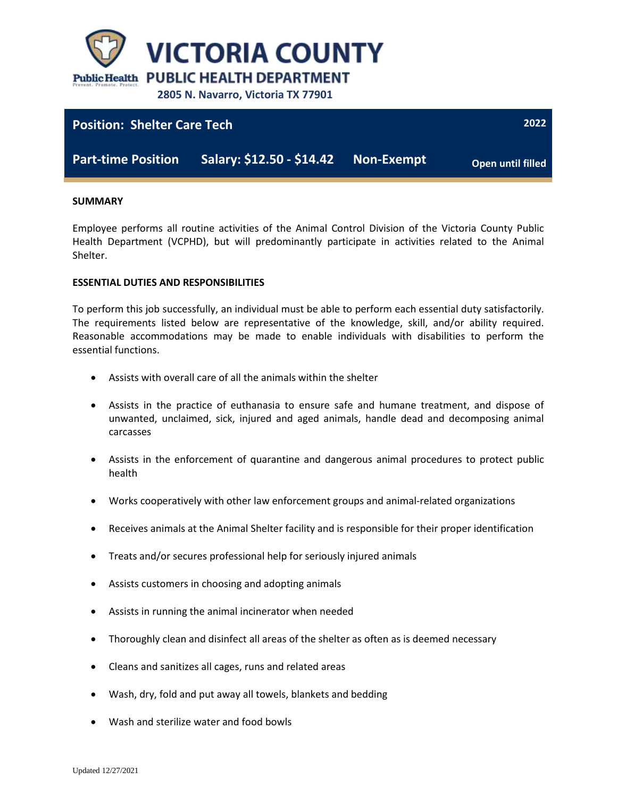

# **Position: Shelter Care Tech**

**Part-time Position Salary: \$12.50 - \$14.42 Non-Exempt**

**Open until filled**

**2022**

#### **SUMMARY**

Employee performs all routine activities of the Animal Control Division of the Victoria County Public Health Department (VCPHD), but will predominantly participate in activities related to the Animal Shelter.

#### **ESSENTIAL DUTIES AND RESPONSIBILITIES**

To perform this job successfully, an individual must be able to perform each essential duty satisfactorily. The requirements listed below are representative of the knowledge, skill, and/or ability required. Reasonable accommodations may be made to enable individuals with disabilities to perform the essential functions.

- Assists with overall care of all the animals within the shelter
- Assists in the practice of euthanasia to ensure safe and humane treatment, and dispose of unwanted, unclaimed, sick, injured and aged animals, handle dead and decomposing animal carcasses
- Assists in the enforcement of quarantine and dangerous animal procedures to protect public health
- Works cooperatively with other law enforcement groups and animal-related organizations
- Receives animals at the Animal Shelter facility and is responsible for their proper identification
- Treats and/or secures professional help for seriously injured animals
- Assists customers in choosing and adopting animals
- Assists in running the animal incinerator when needed
- Thoroughly clean and disinfect all areas of the shelter as often as is deemed necessary
- Cleans and sanitizes all cages, runs and related areas
- Wash, dry, fold and put away all towels, blankets and bedding
- Wash and sterilize water and food bowls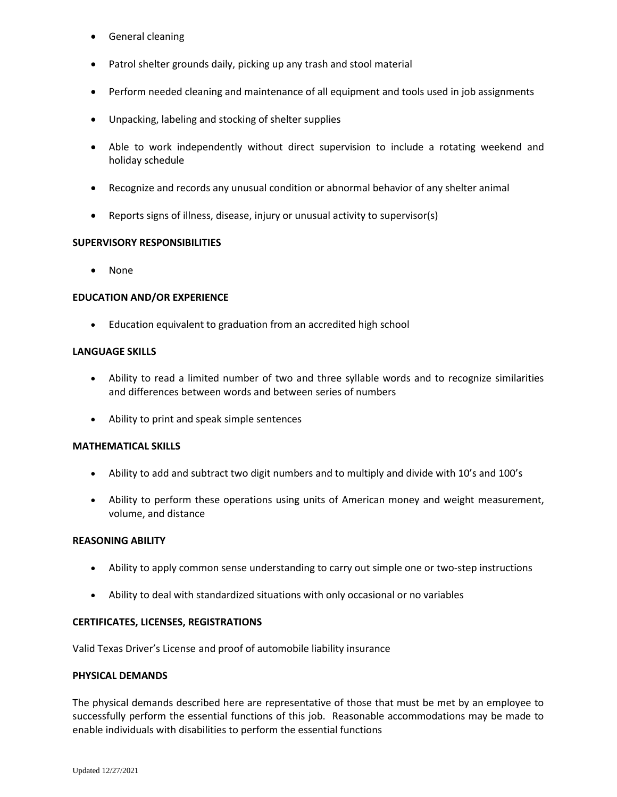- **•** General cleaning
- Patrol shelter grounds daily, picking up any trash and stool material
- Perform needed cleaning and maintenance of all equipment and tools used in job assignments
- Unpacking, labeling and stocking of shelter supplies
- Able to work independently without direct supervision to include a rotating weekend and holiday schedule
- Recognize and records any unusual condition or abnormal behavior of any shelter animal
- Reports signs of illness, disease, injury or unusual activity to supervisor(s)

## **SUPERVISORY RESPONSIBILITIES**

• None

## **EDUCATION AND/OR EXPERIENCE**

Education equivalent to graduation from an accredited high school

#### **LANGUAGE SKILLS**

- Ability to read a limited number of two and three syllable words and to recognize similarities and differences between words and between series of numbers
- Ability to print and speak simple sentences

#### **MATHEMATICAL SKILLS**

- Ability to add and subtract two digit numbers and to multiply and divide with 10's and 100's
- Ability to perform these operations using units of American money and weight measurement, volume, and distance

#### **REASONING ABILITY**

- Ability to apply common sense understanding to carry out simple one or two-step instructions
- Ability to deal with standardized situations with only occasional or no variables

#### **CERTIFICATES, LICENSES, REGISTRATIONS**

Valid Texas Driver's License and proof of automobile liability insurance

#### **PHYSICAL DEMANDS**

The physical demands described here are representative of those that must be met by an employee to successfully perform the essential functions of this job. Reasonable accommodations may be made to enable individuals with disabilities to perform the essential functions